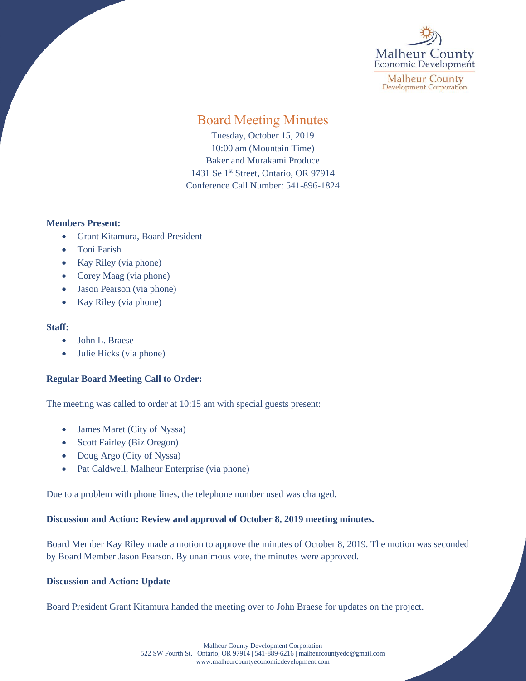

**Malheur County Development Corporation** 

# Board Meeting Minutes

Tuesday, October 15, 2019 10:00 am (Mountain Time) Baker and Murakami Produce 1431 Se 1<sup>st</sup> Street, Ontario, OR 97914 Conference Call Number: 541-896-1824

## **Members Present:**

- Grant Kitamura, Board President
- Toni Parish
- Kay Riley (via phone)
- Corey Maag (via phone)
- Jason Pearson (via phone)
- Kay Riley (via phone)

## **Staff:**

- John L. Braese
- Julie Hicks (via phone)

## **Regular Board Meeting Call to Order:**

The meeting was called to order at 10:15 am with special guests present:

- James Maret (City of Nyssa)
- Scott Fairley (Biz Oregon)
- Doug Argo (City of Nyssa)
- Pat Caldwell, Malheur Enterprise (via phone)

Due to a problem with phone lines, the telephone number used was changed.

## **Discussion and Action: Review and approval of October 8, 2019 meeting minutes.**

Board Member Kay Riley made a motion to approve the minutes of October 8, 2019. The motion was seconded by Board Member Jason Pearson. By unanimous vote, the minutes were approved.

## **Discussion and Action: Update**

Board President Grant Kitamura handed the meeting over to John Braese for updates on the project.